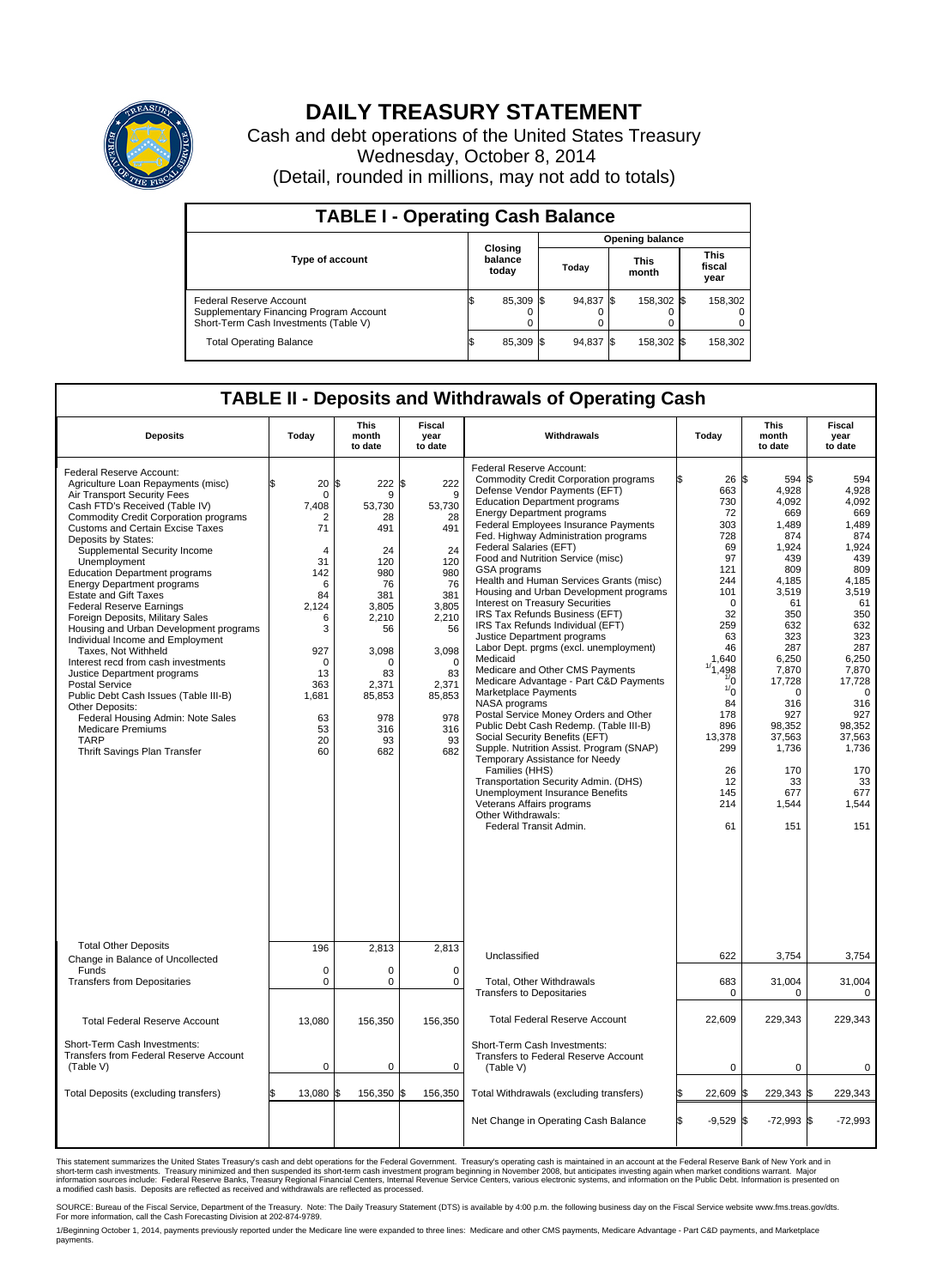

## **DAILY TREASURY STATEMENT**

Cash and debt operations of the United States Treasury Wednesday, October 8, 2014 (Detail, rounded in millions, may not add to totals)

| <b>TABLE I - Operating Cash Balance</b>                                                                     |                             |           |  |                        |  |                      |  |                               |  |
|-------------------------------------------------------------------------------------------------------------|-----------------------------|-----------|--|------------------------|--|----------------------|--|-------------------------------|--|
|                                                                                                             |                             |           |  | <b>Opening balance</b> |  |                      |  |                               |  |
| <b>Type of account</b>                                                                                      | Closing<br>balance<br>today |           |  | Today                  |  | <b>This</b><br>month |  | <b>This</b><br>fiscal<br>year |  |
| Federal Reserve Account<br>Supplementary Financing Program Account<br>Short-Term Cash Investments (Table V) |                             | 85,309 \$ |  | 94,837 \$              |  | 158,302 \$           |  | 158,302                       |  |
| <b>Total Operating Balance</b>                                                                              |                             | 85,309 \$ |  | 94,837 \$              |  | 158,302 \$           |  | 158,302                       |  |

## **TABLE II - Deposits and Withdrawals of Operating Cash**

| <b>Deposits</b>                                                                                                                                                                                                                                                                                                                                                                                                                                                                                                                                                                                                                                                                                                                                                                                                                                                       | Today                                                                                                                                                                  | <b>This</b><br>month<br>to date                                                                                                                                   | <b>Fiscal</b><br>year<br>to date                                                                                                                                        | Withdrawals                                                                                                                                                                                                                                                                                                                                                                                                                                                                                                                                                                                                                                                                                                                                                                                                                                                                                                                                                                                                                                                                                                                                 | Today                                                                                                                                                                                                                               | <b>This</b><br>month<br>to date                                                                                                                                                                                                            | <b>Fiscal</b><br>year<br>to date                                                                                                                                                                                                                  |
|-----------------------------------------------------------------------------------------------------------------------------------------------------------------------------------------------------------------------------------------------------------------------------------------------------------------------------------------------------------------------------------------------------------------------------------------------------------------------------------------------------------------------------------------------------------------------------------------------------------------------------------------------------------------------------------------------------------------------------------------------------------------------------------------------------------------------------------------------------------------------|------------------------------------------------------------------------------------------------------------------------------------------------------------------------|-------------------------------------------------------------------------------------------------------------------------------------------------------------------|-------------------------------------------------------------------------------------------------------------------------------------------------------------------------|---------------------------------------------------------------------------------------------------------------------------------------------------------------------------------------------------------------------------------------------------------------------------------------------------------------------------------------------------------------------------------------------------------------------------------------------------------------------------------------------------------------------------------------------------------------------------------------------------------------------------------------------------------------------------------------------------------------------------------------------------------------------------------------------------------------------------------------------------------------------------------------------------------------------------------------------------------------------------------------------------------------------------------------------------------------------------------------------------------------------------------------------|-------------------------------------------------------------------------------------------------------------------------------------------------------------------------------------------------------------------------------------|--------------------------------------------------------------------------------------------------------------------------------------------------------------------------------------------------------------------------------------------|---------------------------------------------------------------------------------------------------------------------------------------------------------------------------------------------------------------------------------------------------|
| Federal Reserve Account:<br>Agriculture Loan Repayments (misc)<br>Air Transport Security Fees<br>Cash FTD's Received (Table IV)<br><b>Commodity Credit Corporation programs</b><br><b>Customs and Certain Excise Taxes</b><br>Deposits by States:<br>Supplemental Security Income<br>Unemployment<br><b>Education Department programs</b><br><b>Energy Department programs</b><br><b>Estate and Gift Taxes</b><br><b>Federal Reserve Earnings</b><br>Foreign Deposits, Military Sales<br>Housing and Urban Development programs<br>Individual Income and Employment<br>Taxes. Not Withheld<br>Interest recd from cash investments<br>Justice Department programs<br><b>Postal Service</b><br>Public Debt Cash Issues (Table III-B)<br>Other Deposits:<br>Federal Housing Admin: Note Sales<br><b>Medicare Premiums</b><br><b>TARP</b><br>Thrift Savings Plan Transfer | 20<br>$\mathbf 0$<br>7.408<br>2<br>71<br>$\overline{4}$<br>31<br>142<br>6<br>84<br>2,124<br>6<br>3<br>927<br>$\mathbf 0$<br>13<br>363<br>1,681<br>63<br>53<br>20<br>60 | 1\$<br>222<br>9<br>53.730<br>28<br>491<br>24<br>120<br>980<br>76<br>381<br>3,805<br>2,210<br>56<br>3,098<br>0<br>83<br>2,371<br>85,853<br>978<br>316<br>93<br>682 | \$<br>222<br>9<br>53.730<br>28<br>491<br>24<br>120<br>980<br>76<br>381<br>3,805<br>2,210<br>56<br>3,098<br>$\Omega$<br>83<br>2,371<br>85,853<br>978<br>316<br>93<br>682 | Federal Reserve Account:<br><b>Commodity Credit Corporation programs</b><br>Defense Vendor Payments (EFT)<br><b>Education Department programs</b><br><b>Energy Department programs</b><br>Federal Employees Insurance Payments<br>Fed. Highway Administration programs<br>Federal Salaries (EFT)<br>Food and Nutrition Service (misc)<br>GSA programs<br>Health and Human Services Grants (misc)<br>Housing and Urban Development programs<br>Interest on Treasury Securities<br>IRS Tax Refunds Business (EFT)<br>IRS Tax Refunds Individual (EFT)<br>Justice Department programs<br>Labor Dept. prgms (excl. unemployment)<br>Medicaid<br>Medicare and Other CMS Payments<br>Medicare Advantage - Part C&D Payments<br>Marketplace Payments<br>NASA programs<br>Postal Service Money Orders and Other<br>Public Debt Cash Redemp. (Table III-B)<br>Social Security Benefits (EFT)<br>Supple. Nutrition Assist. Program (SNAP)<br>Temporary Assistance for Needy<br>Families (HHS)<br>Transportation Security Admin. (DHS)<br>Unemployment Insurance Benefits<br>Veterans Affairs programs<br>Other Withdrawals:<br>Federal Transit Admin. | 26S<br>663<br>730<br>72<br>303<br>728<br>69<br>97<br>121<br>244<br>101<br>$\Omega$<br>32<br>259<br>63<br>46<br>1,640<br>,498<br>$\frac{1}{0}$<br>$\frac{1}{0}$<br>84<br>178<br>896<br>13,378<br>299<br>26<br>12<br>145<br>214<br>61 | 594 \$<br>4,928<br>4,092<br>669<br>1,489<br>874<br>1,924<br>439<br>809<br>4,185<br>3,519<br>61<br>350<br>632<br>323<br>287<br>6,250<br>7,870<br>17,728<br>0<br>316<br>927<br>98,352<br>37,563<br>1,736<br>170<br>33<br>677<br>1,544<br>151 | 594<br>4,928<br>4,092<br>669<br>1.489<br>874<br>1,924<br>439<br>809<br>4,185<br>3,519<br>61<br>350<br>632<br>323<br>287<br>6,250<br>7,870<br>17,728<br>$\mathbf 0$<br>316<br>927<br>98,352<br>37,563<br>1,736<br>170<br>33<br>677<br>1,544<br>151 |
| <b>Total Other Deposits</b>                                                                                                                                                                                                                                                                                                                                                                                                                                                                                                                                                                                                                                                                                                                                                                                                                                           | 196                                                                                                                                                                    | 2,813                                                                                                                                                             | 2,813                                                                                                                                                                   | Unclassified                                                                                                                                                                                                                                                                                                                                                                                                                                                                                                                                                                                                                                                                                                                                                                                                                                                                                                                                                                                                                                                                                                                                |                                                                                                                                                                                                                                     |                                                                                                                                                                                                                                            |                                                                                                                                                                                                                                                   |
| Change in Balance of Uncollected<br>Funds                                                                                                                                                                                                                                                                                                                                                                                                                                                                                                                                                                                                                                                                                                                                                                                                                             | $\mathbf 0$                                                                                                                                                            | 0                                                                                                                                                                 | $\mathbf 0$                                                                                                                                                             |                                                                                                                                                                                                                                                                                                                                                                                                                                                                                                                                                                                                                                                                                                                                                                                                                                                                                                                                                                                                                                                                                                                                             | 622                                                                                                                                                                                                                                 | 3,754                                                                                                                                                                                                                                      | 3,754                                                                                                                                                                                                                                             |
| <b>Transfers from Depositaries</b>                                                                                                                                                                                                                                                                                                                                                                                                                                                                                                                                                                                                                                                                                                                                                                                                                                    | $\mathbf 0$                                                                                                                                                            | 0                                                                                                                                                                 | $\mathbf 0$                                                                                                                                                             | Total, Other Withdrawals<br><b>Transfers to Depositaries</b>                                                                                                                                                                                                                                                                                                                                                                                                                                                                                                                                                                                                                                                                                                                                                                                                                                                                                                                                                                                                                                                                                | 683<br>0                                                                                                                                                                                                                            | 31,004<br>$\Omega$                                                                                                                                                                                                                         | 31,004<br>0                                                                                                                                                                                                                                       |
| <b>Total Federal Reserve Account</b>                                                                                                                                                                                                                                                                                                                                                                                                                                                                                                                                                                                                                                                                                                                                                                                                                                  | 13,080                                                                                                                                                                 | 156,350                                                                                                                                                           | 156,350                                                                                                                                                                 | <b>Total Federal Reserve Account</b>                                                                                                                                                                                                                                                                                                                                                                                                                                                                                                                                                                                                                                                                                                                                                                                                                                                                                                                                                                                                                                                                                                        | 22.609                                                                                                                                                                                                                              | 229.343                                                                                                                                                                                                                                    | 229.343                                                                                                                                                                                                                                           |
| Short-Term Cash Investments:<br>Transfers from Federal Reserve Account<br>(Table V)                                                                                                                                                                                                                                                                                                                                                                                                                                                                                                                                                                                                                                                                                                                                                                                   | $\mathbf 0$                                                                                                                                                            | 0                                                                                                                                                                 | $\mathbf 0$                                                                                                                                                             | Short-Term Cash Investments:<br><b>Transfers to Federal Reserve Account</b><br>(Table V)                                                                                                                                                                                                                                                                                                                                                                                                                                                                                                                                                                                                                                                                                                                                                                                                                                                                                                                                                                                                                                                    | $\mathbf 0$                                                                                                                                                                                                                         | $\mathbf 0$                                                                                                                                                                                                                                | 0                                                                                                                                                                                                                                                 |
| Total Deposits (excluding transfers)                                                                                                                                                                                                                                                                                                                                                                                                                                                                                                                                                                                                                                                                                                                                                                                                                                  | 13,080                                                                                                                                                                 | 156,350 \$                                                                                                                                                        | 156,350                                                                                                                                                                 | Total Withdrawals (excluding transfers)                                                                                                                                                                                                                                                                                                                                                                                                                                                                                                                                                                                                                                                                                                                                                                                                                                                                                                                                                                                                                                                                                                     | 22,609 \$                                                                                                                                                                                                                           | 229,343 \$                                                                                                                                                                                                                                 | 229,343                                                                                                                                                                                                                                           |
|                                                                                                                                                                                                                                                                                                                                                                                                                                                                                                                                                                                                                                                                                                                                                                                                                                                                       |                                                                                                                                                                        |                                                                                                                                                                   |                                                                                                                                                                         | Net Change in Operating Cash Balance                                                                                                                                                                                                                                                                                                                                                                                                                                                                                                                                                                                                                                                                                                                                                                                                                                                                                                                                                                                                                                                                                                        | l\$<br>$-9,529$ \$                                                                                                                                                                                                                  | $-72,993$ \$                                                                                                                                                                                                                               | $-72,993$                                                                                                                                                                                                                                         |

This statement summarizes the United States Treasury's cash and debt operations for the Federal Government. Treasury's operating cash is maintained in an account at the Federal Reserve Bank of New York and in<br>short-term ca

SOURCE: Bureau of the Fiscal Service, Department of the Treasury. Note: The Daily Treasury Statement (DTS) is available by 4:00 p.m. the following business day on the Fiscal Service website www.fms.treas.gov/dts.<br>For more

1/Beginning October 1, 2014, payments previously reported under the Medicare line were expanded to three lines: Medicare and other CMS payments, Medicare Advantage - Part C&D payments, and Marketplace<br>payments.